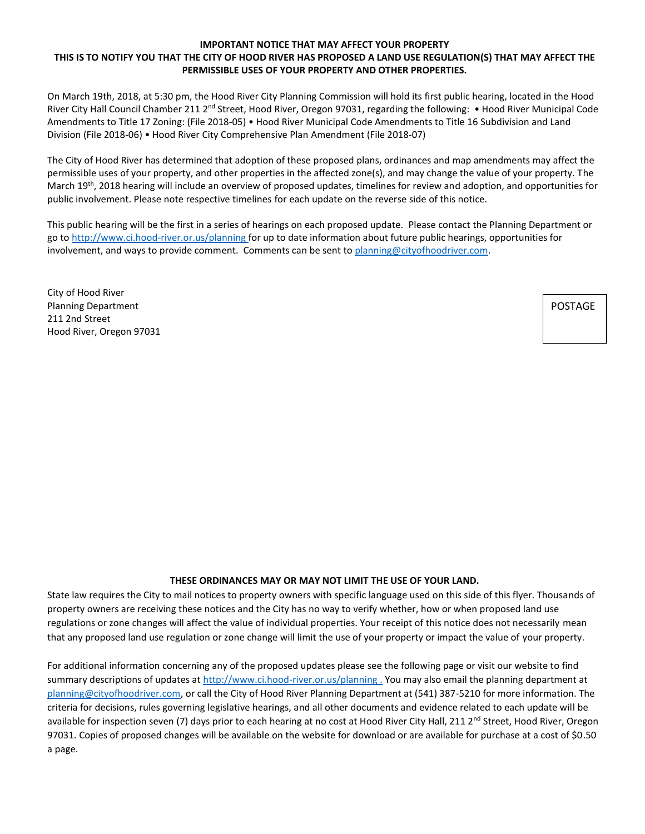## **IMPORTANT NOTICE THAT MAY AFFECT YOUR PROPERTY THIS IS TO NOTIFY YOU THAT THE CITY OF HOOD RIVER HAS PROPOSED A LAND USE REGULATION(S) THAT MAY AFFECT THE PERMISSIBLE USES OF YOUR PROPERTY AND OTHER PROPERTIES.**

On March 19th, 2018, at 5:30 pm, the Hood River City Planning Commission will hold its first public hearing, located in the Hood River City Hall Council Chamber 211 2<sup>nd</sup> Street, Hood River, Oregon 97031, regarding the following: • Hood River Municipal Code Amendments to Title 17 Zoning: (File 2018-05) • Hood River Municipal Code Amendments to Title 16 Subdivision and Land Division (File 2018-06) • Hood River City Comprehensive Plan Amendment (File 2018-07)

The City of Hood River has determined that adoption of these proposed plans, ordinances and map amendments may affect the permissible uses of your property, and other properties in the affected zone(s), and may change the value of your property. The March 19<sup>th</sup>, 2018 hearing will include an overview of proposed updates, timelines for review and adoption, and opportunities for public involvement. Please note respective timelines for each update on the reverse side of this notice.

This public hearing will be the first in a series of hearings on each proposed update. Please contact the Planning Department or go to<http://www.ci.hood-river.or.us/planning> for up to date information about future public hearings, opportunities for involvement, and ways to provide comment. Comments can be sent to [planning@cityofhoodriver.com.](mailto:planning@cityofhoodriver.com)

City of Hood River Planning Department 211 2nd Street Hood River, Oregon 97031

POSTAGE

## **THESE ORDINANCES MAY OR MAY NOT LIMIT THE USE OF YOUR LAND.**

State law requires the City to mail notices to property owners with specific language used on this side of this flyer. Thousands of property owners are receiving these notices and the City has no way to verify whether, how or when proposed land use regulations or zone changes will affect the value of individual properties. Your receipt of this notice does not necessarily mean that any proposed land use regulation or zone change will limit the use of your property or impact the value of your property.

For additional information concerning any of the proposed updates please see the following page or visit our website to find summary descriptions of updates at<http://www.ci.hood-river.or.us/planning> . You may also email the planning department at [planning@cityofhoodriver.com,](mailto:planning@cityofhoodriver.com) or call the City of Hood River Planning Department at (541) 387-5210 for more information. The criteria for decisions, rules governing legislative hearings, and all other documents and evidence related to each update will be available for inspection seven (7) days prior to each hearing at no cost at Hood River City Hall, 211 2<sup>nd</sup> Street, Hood River, Oregon 97031. Copies of proposed changes will be available on the website for download or are available for purchase at a cost of \$0.50 a page.